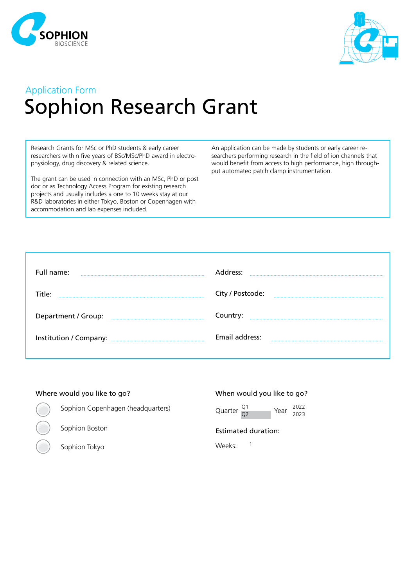



## Application Form Sophion Research Grant

Research Grants for MSc or PhD students & early career researchers within five years of BSc/MSc/PhD award in electrophysiology, drug discovery & related science.

The grant can be used in connection with an MSc, PhD or post doc or as Technology Access Program for existing research projects and usually includes a one to 10 weeks stay at our R&D laboratories in either Tokyo, Boston or Copenhagen with accommodation and lab expenses included.

An application can be made by students or early career researchers performing research in the field of ion channels that would benefit from access to high performance, high throughput automated patch clamp instrumentation.

| Full name:             | Address:         |
|------------------------|------------------|
|                        |                  |
| Title:                 | City / Postcode: |
|                        |                  |
|                        |                  |
| Department / Group:    | Country:         |
|                        |                  |
| Institution / Company: | Email address:   |
|                        |                  |
|                        |                  |

| Where would you like to go?       | When would you like to go?                            |
|-----------------------------------|-------------------------------------------------------|
| Sophion Copenhagen (headquarters) | Year $\frac{2022}{2023}$<br>Quarter $\frac{Q_1}{Q_2}$ |
| Sophion Boston                    | <b>Estimated duration:</b>                            |
| Sophion Tokyo                     | Weeks <sup>.</sup>                                    |